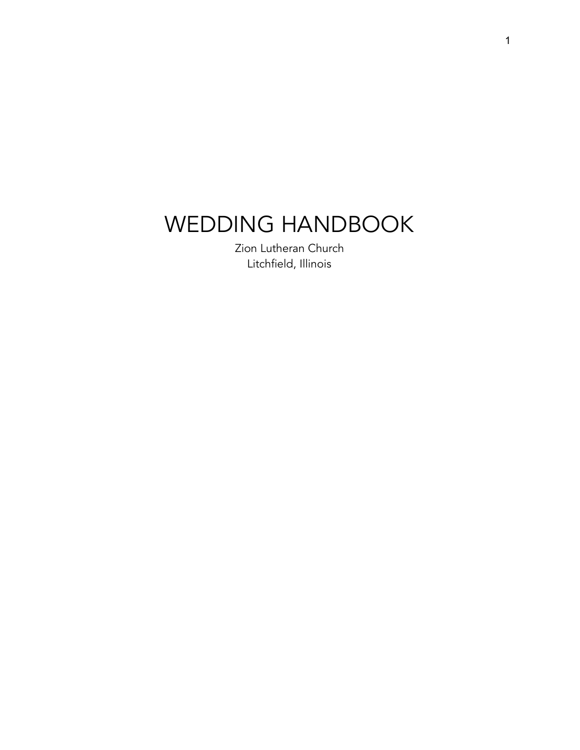# WEDDING HANDBOOK

Zion Lutheran Church Litchfield, Illinois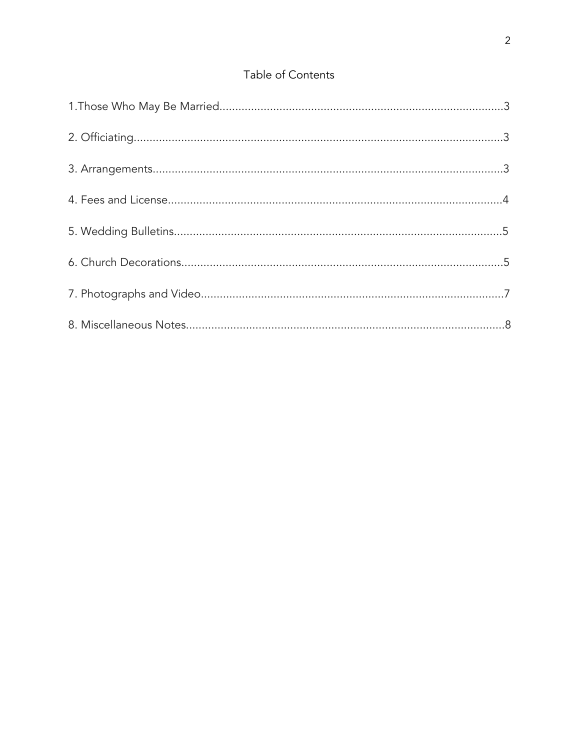# Table of Contents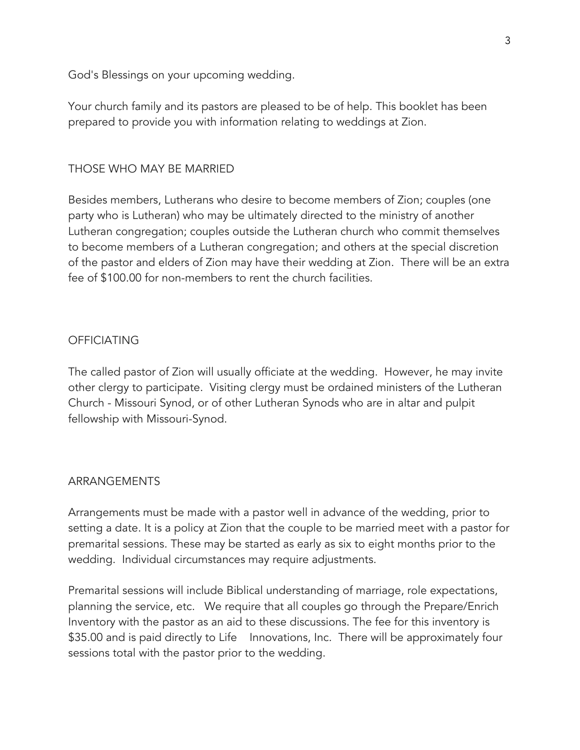God's Blessings on your upcoming wedding.

Your church family and its pastors are pleased to be of help. This booklet has been prepared to provide you with information relating to weddings at Zion.

## THOSE WHO MAY BE MARRIED

Besides members, Lutherans who desire to become members of Zion; couples (one party who is Lutheran) who may be ultimately directed to the ministry of another Lutheran congregation; couples outside the Lutheran church who commit themselves to become members of a Lutheran congregation; and others at the special discretion of the pastor and elders of Zion may have their wedding at Zion. There will be an extra fee of \$100.00 for non-members to rent the church facilities.

## **OFFICIATING**

The called pastor of Zion will usually officiate at the wedding. However, he may invite other clergy to participate. Visiting clergy must be ordained ministers of the Lutheran Church - Missouri Synod, or of other Lutheran Synods who are in altar and pulpit fellowship with Missouri-Synod.

#### ARRANGEMENTS

Arrangements must be made with a pastor well in advance of the wedding, prior to setting a date. It is a policy at Zion that the couple to be married meet with a pastor for premarital sessions. These may be started as early as six to eight months prior to the wedding. Individual circumstances may require adjustments.

Premarital sessions will include Biblical understanding of marriage, role expectations, planning the service, etc. We require that all couples go through the Prepare/Enrich Inventory with the pastor as an aid to these discussions. The fee for this inventory is \$35.00 and is paid directly to Life Innovations, Inc. There will be approximately four sessions total with the pastor prior to the wedding.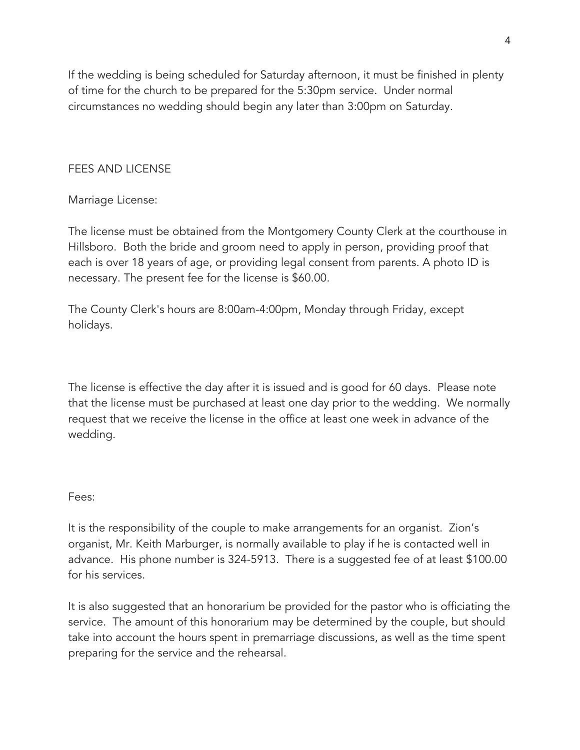If the wedding is being scheduled for Saturday afternoon, it must be finished in plenty of time for the church to be prepared for the 5:30pm service. Under normal circumstances no wedding should begin any later than 3:00pm on Saturday.

## FEES AND LICENSE

## Marriage License:

The license must be obtained from the Montgomery County Clerk at the courthouse in Hillsboro. Both the bride and groom need to apply in person, providing proof that each is over 18 years of age, or providing legal consent from parents. A photo ID is necessary. The present fee for the license is \$60.00.

The County Clerk's hours are 8:00am-4:00pm, Monday through Friday, except holidays.

The license is effective the day after it is issued and is good for 60 days. Please note that the license must be purchased at least one day prior to the wedding. We normally request that we receive the license in the office at least one week in advance of the wedding.

#### Fees:

It is the responsibility of the couple to make arrangements for an organist. Zion's organist, Mr. Keith Marburger, is normally available to play if he is contacted well in advance. His phone number is 324-5913. There is a suggested fee of at least \$100.00 for his services.

It is also suggested that an honorarium be provided for the pastor who is officiating the service. The amount of this honorarium may be determined by the couple, but should take into account the hours spent in premarriage discussions, as well as the time spent preparing for the service and the rehearsal.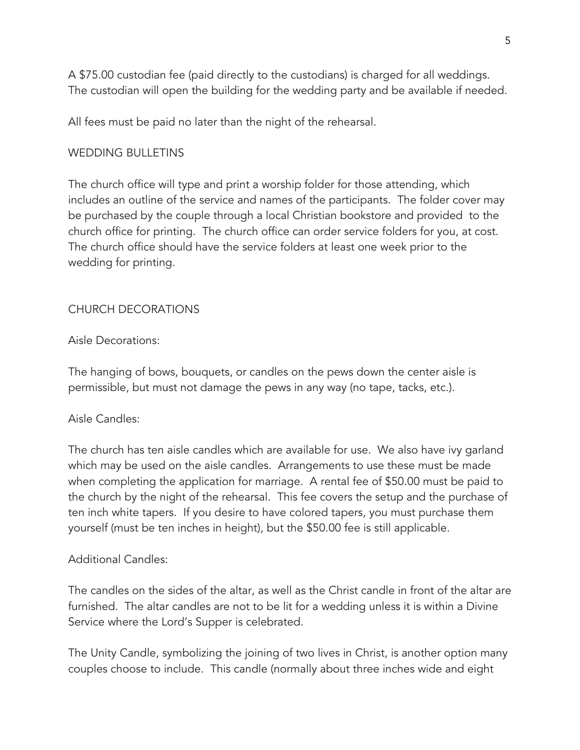A \$75.00 custodian fee (paid directly to the custodians) is charged for all weddings. The custodian will open the building for the wedding party and be available if needed.

All fees must be paid no later than the night of the rehearsal.

# WEDDING BULLETINS

The church office will type and print a worship folder for those attending, which includes an outline of the service and names of the participants. The folder cover may be purchased by the couple through a local Christian bookstore and provided to the church office for printing. The church office can order service folders for you, at cost. The church office should have the service folders at least one week prior to the wedding for printing.

# CHURCH DECORATIONS

# Aisle Decorations:

The hanging of bows, bouquets, or candles on the pews down the center aisle is permissible, but must not damage the pews in any way (no tape, tacks, etc.).

# Aisle Candles:

The church has ten aisle candles which are available for use. We also have ivy garland which may be used on the aisle candles. Arrangements to use these must be made when completing the application for marriage. A rental fee of \$50.00 must be paid to the church by the night of the rehearsal. This fee covers the setup and the purchase of ten inch white tapers. If you desire to have colored tapers, you must purchase them yourself (must be ten inches in height), but the \$50.00 fee is still applicable.

# Additional Candles:

The candles on the sides of the altar, as well as the Christ candle in front of the altar are furnished. The altar candles are not to be lit for a wedding unless it is within a Divine Service where the Lord's Supper is celebrated.

The Unity Candle, symbolizing the joining of two lives in Christ, is another option many couples choose to include. This candle (normally about three inches wide and eight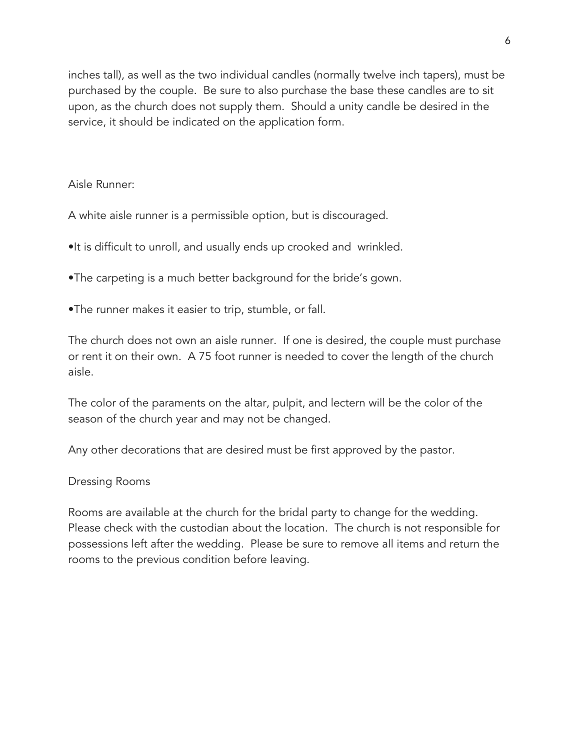inches tall), as well as the two individual candles (normally twelve inch tapers), must be purchased by the couple. Be sure to also purchase the base these candles are to sit upon, as the church does not supply them. Should a unity candle be desired in the service, it should be indicated on the application form.

#### Aisle Runner:

A white aisle runner is a permissible option, but is discouraged.

- •It is difficult to unroll, and usually ends up crooked and wrinkled.
- •The carpeting is a much better background for the bride's gown.
- •The runner makes it easier to trip, stumble, or fall.

The church does not own an aisle runner. If one is desired, the couple must purchase or rent it on their own. A 75 foot runner is needed to cover the length of the church aisle.

The color of the paraments on the altar, pulpit, and lectern will be the color of the season of the church year and may not be changed.

Any other decorations that are desired must be first approved by the pastor.

#### Dressing Rooms

Rooms are available at the church for the bridal party to change for the wedding. Please check with the custodian about the location. The church is not responsible for possessions left after the wedding. Please be sure to remove all items and return the rooms to the previous condition before leaving.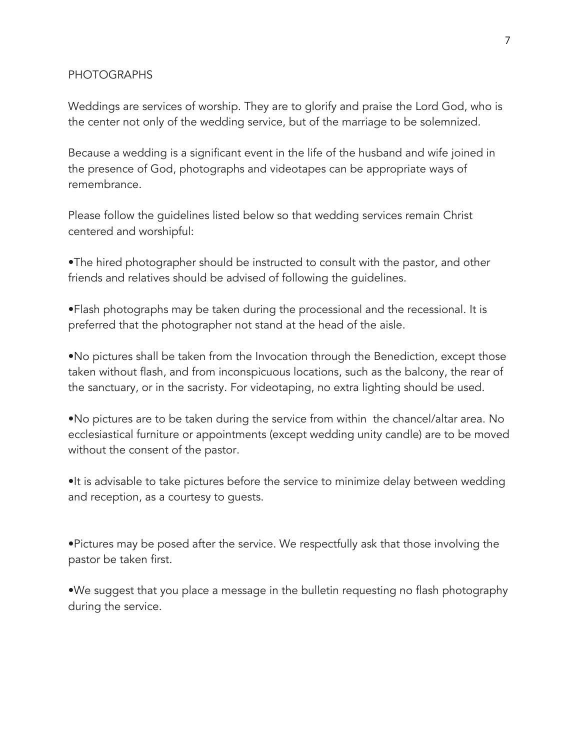#### PHOTOGRAPHS

Weddings are services of worship. They are to glorify and praise the Lord God, who is the center not only of the wedding service, but of the marriage to be solemnized.

Because a wedding is a significant event in the life of the husband and wife joined in the presence of God, photographs and videotapes can be appropriate ways of remembrance.

Please follow the guidelines listed below so that wedding services remain Christ centered and worshipful:

•The hired photographer should be instructed to consult with the pastor, and other friends and relatives should be advised of following the guidelines.

•Flash photographs may be taken during the processional and the recessional. It is preferred that the photographer not stand at the head of the aisle.

•No pictures shall be taken from the Invocation through the Benediction, except those taken without flash, and from inconspicuous locations, such as the balcony, the rear of the sanctuary, or in the sacristy. For videotaping, no extra lighting should be used.

•No pictures are to be taken during the service from within the chancel/altar area. No ecclesiastical furniture or appointments (except wedding unity candle) are to be moved without the consent of the pastor.

•It is advisable to take pictures before the service to minimize delay between wedding and reception, as a courtesy to guests.

•Pictures may be posed after the service. We respectfully ask that those involving the pastor be taken first.

•We suggest that you place a message in the bulletin requesting no flash photography during the service.